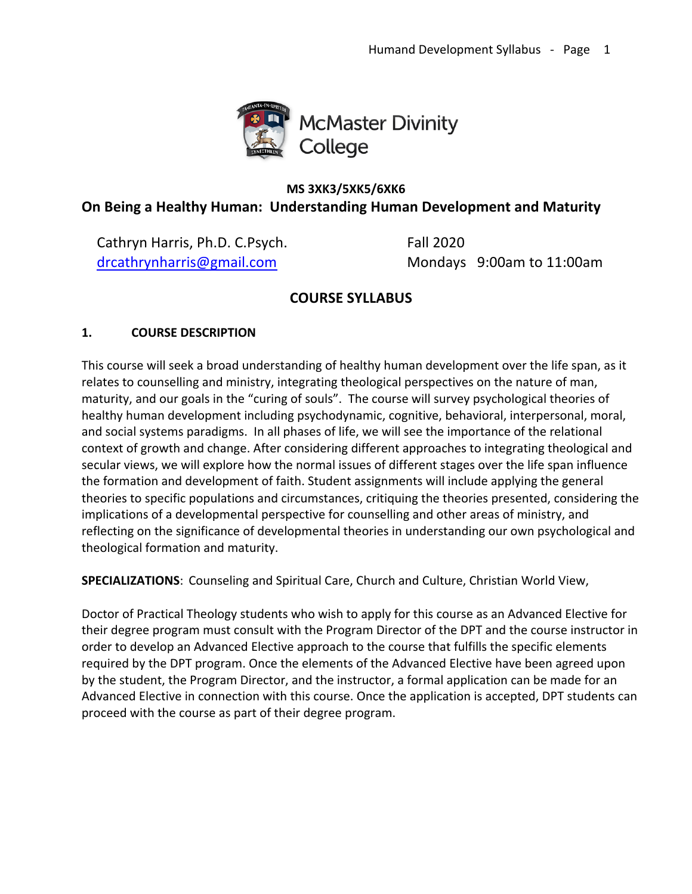

# **MS 3XK3/5XK5/6XK6 On Being a Healthy Human: Understanding Human Development and Maturity**

Cathryn Harris, Ph.D. C.Psych. Fall 2020

drcathrynharris@gmail.com Mondays 9:00am to 11:00am

# **COURSE SYLLABUS**

## **1. COURSE DESCRIPTION**

This course will seek a broad understanding of healthy human development over the life span, as it relates to counselling and ministry, integrating theological perspectives on the nature of man, maturity, and our goals in the "curing of souls". The course will survey psychological theories of healthy human development including psychodynamic, cognitive, behavioral, interpersonal, moral, and social systems paradigms. In all phases of life, we will see the importance of the relational context of growth and change. After considering different approaches to integrating theological and secular views, we will explore how the normal issues of different stages over the life span influence the formation and development of faith. Student assignments will include applying the general theories to specific populations and circumstances, critiquing the theories presented, considering the implications of a developmental perspective for counselling and other areas of ministry, and reflecting on the significance of developmental theories in understanding our own psychological and theological formation and maturity.

**SPECIALIZATIONS**: Counseling and Spiritual Care, Church and Culture, Christian World View,

Doctor of Practical Theology students who wish to apply for this course as an Advanced Elective for their degree program must consult with the Program Director of the DPT and the course instructor in order to develop an Advanced Elective approach to the course that fulfills the specific elements required by the DPT program. Once the elements of the Advanced Elective have been agreed upon by the student, the Program Director, and the instructor, a formal application can be made for an Advanced Elective in connection with this course. Once the application is accepted, DPT students can proceed with the course as part of their degree program.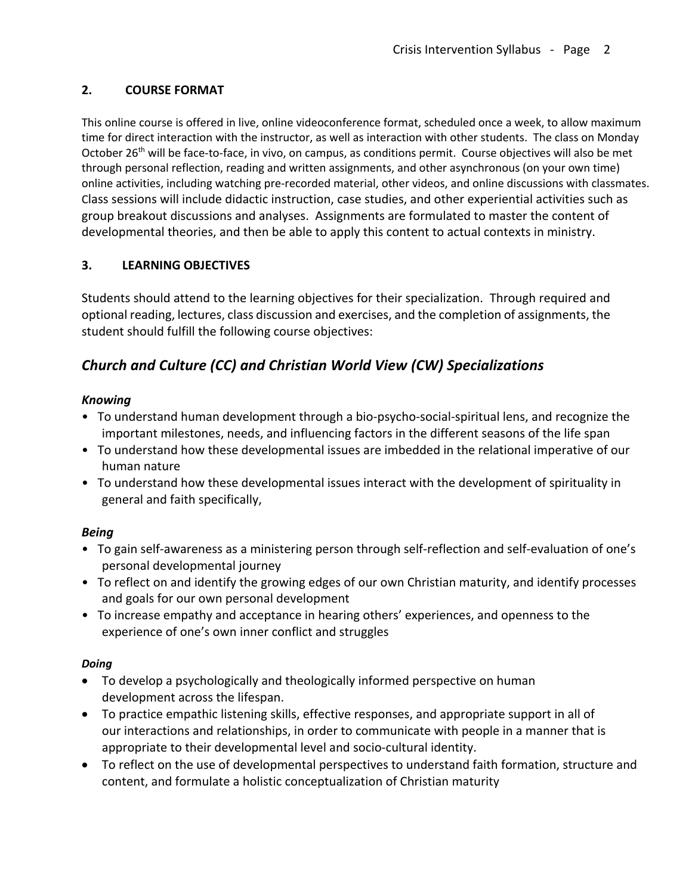## **2. COURSE FORMAT**

This online course is offered in live, online videoconference format, scheduled once a week, to allow maximum time for direct interaction with the instructor, as well as interaction with other students. The class on Monday October 26<sup>th</sup> will be face-to-face, in vivo, on campus, as conditions permit. Course objectives will also be met through personal reflection, reading and written assignments, and other asynchronous (on your own time) online activities, including watching pre-recorded material, other videos, and online discussions with classmates. Class sessions will include didactic instruction, case studies, and other experiential activities such as group breakout discussions and analyses. Assignments are formulated to master the content of developmental theories, and then be able to apply this content to actual contexts in ministry.

## **3. LEARNING OBJECTIVES**

Students should attend to the learning objectives for their specialization. Through required and optional reading, lectures, class discussion and exercises, and the completion of assignments, the student should fulfill the following course objectives:

# *Church and Culture (CC) and Christian World View (CW) Specializations*

## *Knowing*

- To understand human development through a bio-psycho-social-spiritual lens, and recognize the important milestones, needs, and influencing factors in the different seasons of the life span
- To understand how these developmental issues are imbedded in the relational imperative of our human nature
- To understand how these developmental issues interact with the development of spirituality in general and faith specifically,

## *Being*

- To gain self-awareness as a ministering person through self-reflection and self-evaluation of one's personal developmental journey
- To reflect on and identify the growing edges of our own Christian maturity, and identify processes and goals for our own personal development
- To increase empathy and acceptance in hearing others' experiences, and openness to the experience of one's own inner conflict and struggles

## *Doing*

- To develop a psychologically and theologically informed perspective on human development across the lifespan.
- To practice empathic listening skills, effective responses, and appropriate support in all of our interactions and relationships, in order to communicate with people in a manner that is appropriate to their developmental level and socio-cultural identity.
- To reflect on the use of developmental perspectives to understand faith formation, structure and content, and formulate a holistic conceptualization of Christian maturity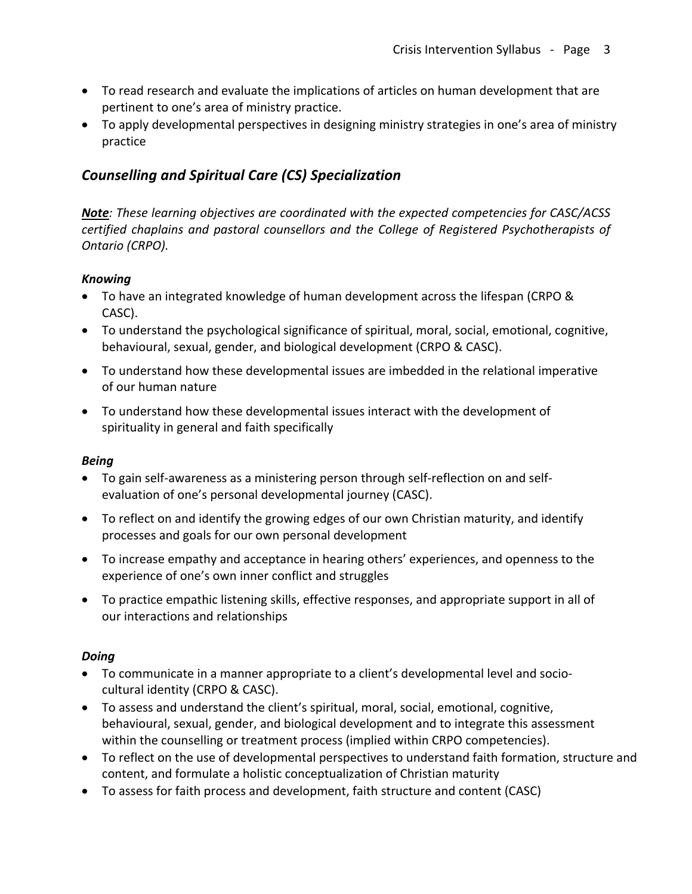- To read research and evaluate the implications of articles on human development that are pertinent to one's area of ministry practice.
- To apply developmental perspectives in designing ministry strategies in one's area of ministry practice

# *Counselling and Spiritual Care (CS) Specialization*

*Note: These learning objectives are coordinated with the expected competencies for CASC/ACSS certified chaplains and pastoral counsellors and the College of Registered Psychotherapists of Ontario (CRPO).* 

### *Knowing*

- To have an integrated knowledge of human development across the lifespan (CRPO & CASC).
- To understand the psychological significance of spiritual, moral, social, emotional, cognitive, behavioural, sexual, gender, and biological development (CRPO & CASC).
- To understand how these developmental issues are imbedded in the relational imperative of our human nature
- To understand how these developmental issues interact with the development of spirituality in general and faith specifically

### *Being*

- To gain self-awareness as a ministering person through self-reflection on and selfevaluation of one's personal developmental journey (CASC).
- To reflect on and identify the growing edges of our own Christian maturity, and identify processes and goals for our own personal development
- To increase empathy and acceptance in hearing others' experiences, and openness to the experience of one's own inner conflict and struggles
- To practice empathic listening skills, effective responses, and appropriate support in all of our interactions and relationships

### *Doing*

- To communicate in a manner appropriate to a client's developmental level and sociocultural identity (CRPO & CASC).
- To assess and understand the client's spiritual, moral, social, emotional, cognitive, behavioural, sexual, gender, and biological development and to integrate this assessment within the counselling or treatment process (implied within CRPO competencies).
- To reflect on the use of developmental perspectives to understand faith formation, structure and content, and formulate a holistic conceptualization of Christian maturity
- To assess for faith process and development, faith structure and content (CASC)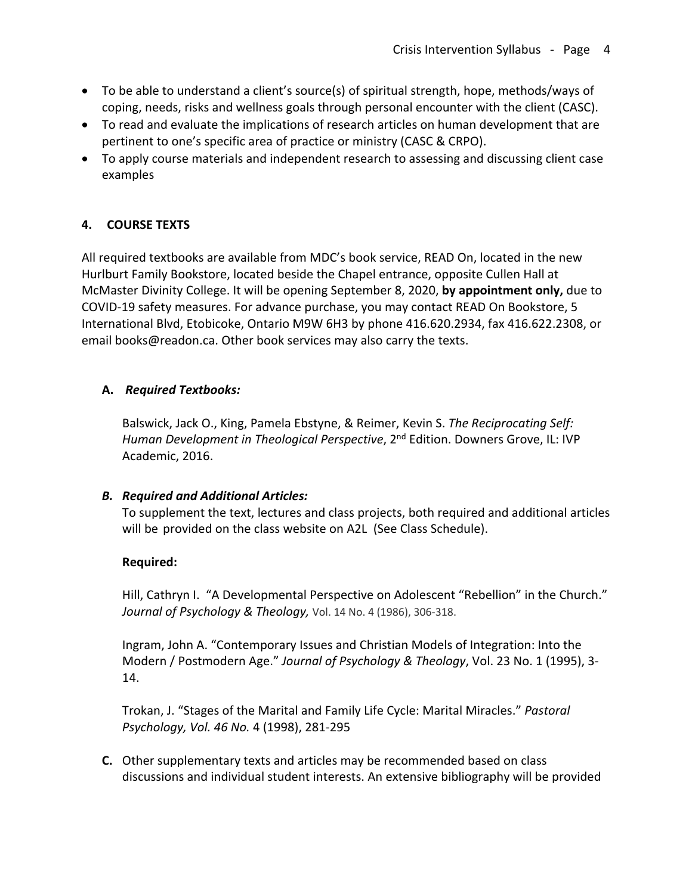- To be able to understand a client's source(s) of spiritual strength, hope, methods/ways of coping, needs, risks and wellness goals through personal encounter with the client (CASC).
- To read and evaluate the implications of research articles on human development that are pertinent to one's specific area of practice or ministry (CASC & CRPO).
- To apply course materials and independent research to assessing and discussing client case examples

## **4. COURSE TEXTS**

All required textbooks are available from MDC's book service, READ On, located in the new Hurlburt Family Bookstore, located beside the Chapel entrance, opposite Cullen Hall at McMaster Divinity College. It will be opening September 8, 2020, **by appointment only,** due to COVID-19 safety measures. For advance purchase, you may contact READ On Bookstore, 5 International Blvd, Etobicoke, Ontario M9W 6H3 by phone 416.620.2934, fax 416.622.2308, or email books@readon.ca. Other book services may also carry the texts.

## **A.** *Required Textbooks:*

Balswick, Jack O., King, Pamela Ebstyne, & Reimer, Kevin S. *The Reciprocating Self: Human Development in Theological Perspective,* 2<sup>nd</sup> Edition. Downers Grove, IL: IVP Academic, 2016.

## *B. Required and Additional Articles:*

To supplement the text, lectures and class projects, both required and additional articles will be provided on the class website on A2L (See Class Schedule).

## **Required:**

Hill, Cathryn I. "A Developmental Perspective on Adolescent "Rebellion" in the Church." *Journal of Psychology & Theology,* Vol. 14 No. 4 (1986), 306-318.

Ingram, John A. "Contemporary Issues and Christian Models of Integration: Into the Modern / Postmodern Age." *Journal of Psychology & Theology*, Vol. 23 No. 1 (1995), 3- 14.

Trokan, J. "Stages of the Marital and Family Life Cycle: Marital Miracles." *Pastoral Psychology, Vol. 46 No.* 4 (1998), 281-295

**C.** Other supplementary texts and articles may be recommended based on class discussions and individual student interests. An extensive bibliography will be provided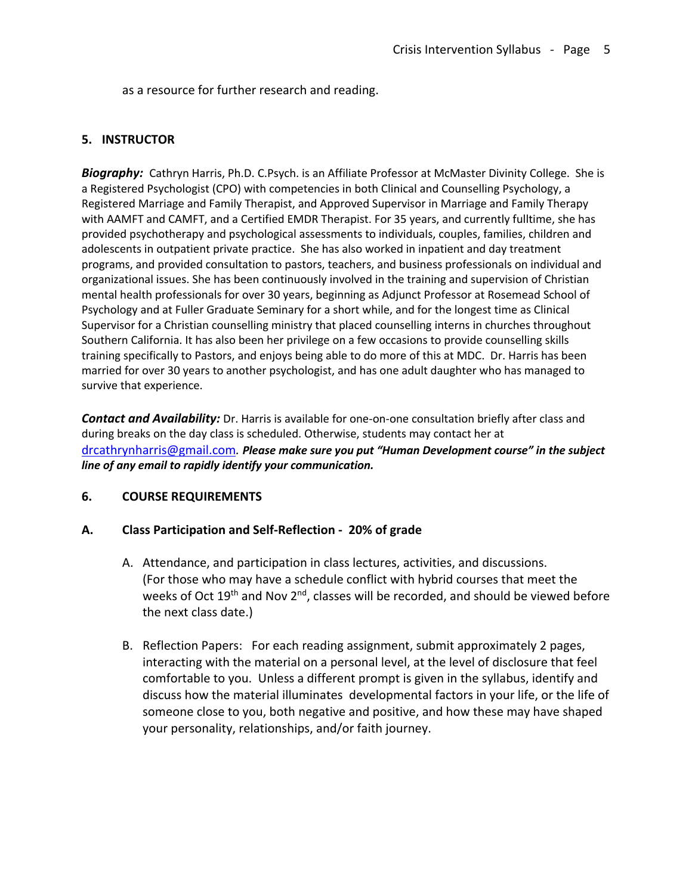as a resource for further research and reading.

#### **5. INSTRUCTOR**

*Biography:* Cathryn Harris, Ph.D. C.Psych. is an Affiliate Professor at McMaster Divinity College. She is a Registered Psychologist (CPO) with competencies in both Clinical and Counselling Psychology, a Registered Marriage and Family Therapist, and Approved Supervisor in Marriage and Family Therapy with AAMFT and CAMFT, and a Certified EMDR Therapist. For 35 years, and currently fulltime, she has provided psychotherapy and psychological assessments to individuals, couples, families, children and adolescents in outpatient private practice. She has also worked in inpatient and day treatment programs, and provided consultation to pastors, teachers, and business professionals on individual and organizational issues. She has been continuously involved in the training and supervision of Christian mental health professionals for over 30 years, beginning as Adjunct Professor at Rosemead School of Psychology and at Fuller Graduate Seminary for a short while, and for the longest time as Clinical Supervisor for a Christian counselling ministry that placed counselling interns in churches throughout Southern California. It has also been her privilege on a few occasions to provide counselling skills training specifically to Pastors, and enjoys being able to do more of this at MDC. Dr. Harris has been married for over 30 years to another psychologist, and has one adult daughter who has managed to survive that experience.

*Contact and Availability:* Dr. Harris is available for one-on-one consultation briefly after class and during breaks on the day class is scheduled. Otherwise, students may contact her at drcathrynharris@gmail.com*. Please make sure you put "Human Development course" in the subject line of any email to rapidly identify your communication.*

### **6. COURSE REQUIREMENTS**

#### **A. Class Participation and Self-Reflection - 20% of grade**

- A. Attendance, and participation in class lectures, activities, and discussions. (For those who may have a schedule conflict with hybrid courses that meet the weeks of Oct 19<sup>th</sup> and Nov 2<sup>nd</sup>, classes will be recorded, and should be viewed before the next class date.)
- B. Reflection Papers: For each reading assignment, submit approximately 2 pages, interacting with the material on a personal level, at the level of disclosure that feel comfortable to you. Unless a different prompt is given in the syllabus, identify and discuss how the material illuminates developmental factors in your life, or the life of someone close to you, both negative and positive, and how these may have shaped your personality, relationships, and/or faith journey.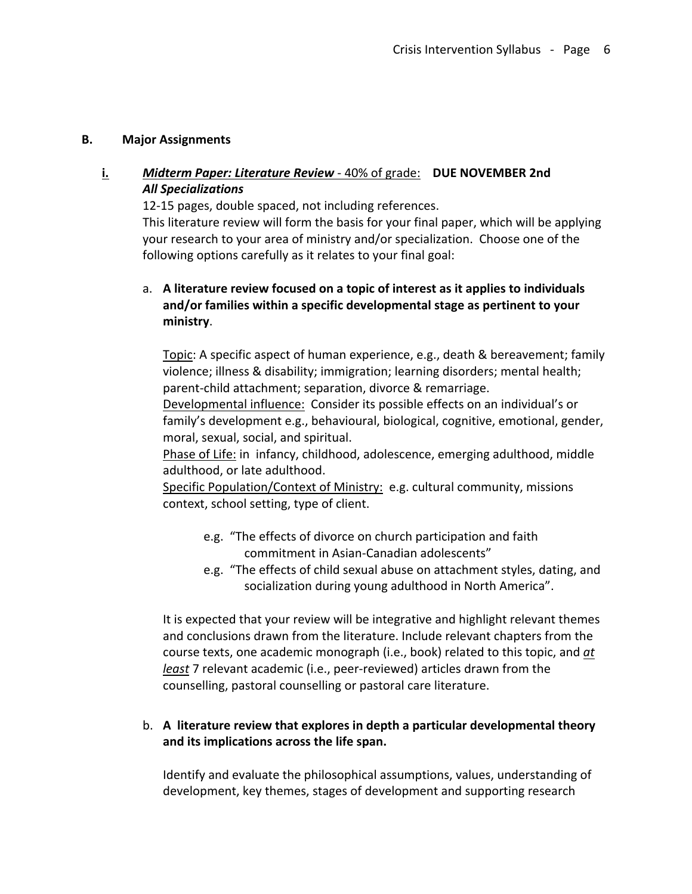### **B. Major Assignments**

## **i.** *Midterm Paper: Literature Review* - 40% of grade: **DUE NOVEMBER 2nd** *All Specializations*

12-15 pages, double spaced, not including references.

This literature review will form the basis for your final paper, which will be applying your research to your area of ministry and/or specialization. Choose one of the following options carefully as it relates to your final goal:

## a. **A literature review focused on a topic of interest as it applies to individuals and/or families within a specific developmental stage as pertinent to your ministry**.

Topic: A specific aspect of human experience, e.g., death & bereavement; family violence; illness & disability; immigration; learning disorders; mental health; parent-child attachment; separation, divorce & remarriage.

Developmental influence: Consider its possible effects on an individual's or family's development e.g., behavioural, biological, cognitive, emotional, gender, moral, sexual, social, and spiritual.

Phase of Life: in infancy, childhood, adolescence, emerging adulthood, middle adulthood, or late adulthood.

Specific Population/Context of Ministry: e.g. cultural community, missions context, school setting, type of client.

- e.g. "The effects of divorce on church participation and faith commitment in Asian-Canadian adolescents"
- e.g. "The effects of child sexual abuse on attachment styles, dating, and socialization during young adulthood in North America".

It is expected that your review will be integrative and highlight relevant themes and conclusions drawn from the literature. Include relevant chapters from the course texts, one academic monograph (i.e., book) related to this topic, and *at least* 7 relevant academic (i.e., peer-reviewed) articles drawn from the counselling, pastoral counselling or pastoral care literature.

## b. **A literature review that explores in depth a particular developmental theory and its implications across the life span.**

Identify and evaluate the philosophical assumptions, values, understanding of development, key themes, stages of development and supporting research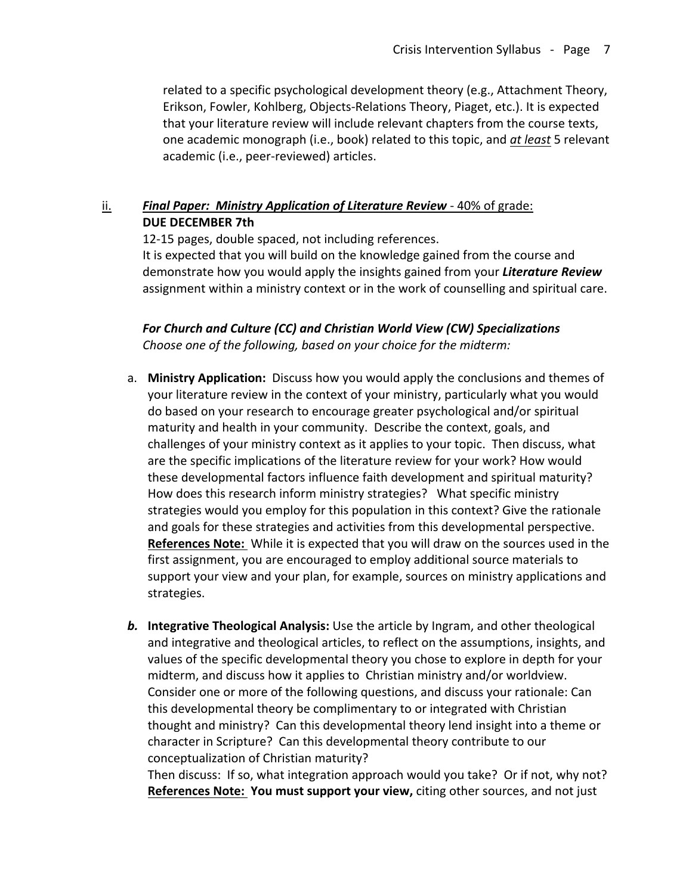related to a specific psychological development theory (e.g., Attachment Theory, Erikson, Fowler, Kohlberg, Objects-Relations Theory, Piaget, etc.). It is expected that your literature review will include relevant chapters from the course texts, one academic monograph (i.e., book) related to this topic, and *at least* 5 relevant academic (i.e., peer-reviewed) articles.

## ii. *Final Paper: Ministry Application of Literature Review* - 40% of grade: **DUE DECEMBER 7th**

12-15 pages, double spaced, not including references. It is expected that you will build on the knowledge gained from the course and demonstrate how you would apply the insights gained from your *Literature Review*  assignment within a ministry context or in the work of counselling and spiritual care.

*For Church and Culture (CC) and Christian World View (CW) Specializations Choose one of the following, based on your choice for the midterm:*

- a. **Ministry Application:** Discuss how you would apply the conclusions and themes of your literature review in the context of your ministry, particularly what you would do based on your research to encourage greater psychological and/or spiritual maturity and health in your community. Describe the context, goals, and challenges of your ministry context as it applies to your topic. Then discuss, what are the specific implications of the literature review for your work? How would these developmental factors influence faith development and spiritual maturity? How does this research inform ministry strategies? What specific ministry strategies would you employ for this population in this context? Give the rationale and goals for these strategies and activities from this developmental perspective. **References Note:** While it is expected that you will draw on the sources used in the first assignment, you are encouraged to employ additional source materials to support your view and your plan, for example, sources on ministry applications and strategies.
- *b.* **Integrative Theological Analysis:** Use the article by Ingram, and other theological and integrative and theological articles, to reflect on the assumptions, insights, and values of the specific developmental theory you chose to explore in depth for your midterm, and discuss how it applies to Christian ministry and/or worldview. Consider one or more of the following questions, and discuss your rationale: Can this developmental theory be complimentary to or integrated with Christian thought and ministry? Can this developmental theory lend insight into a theme or character in Scripture? Can this developmental theory contribute to our conceptualization of Christian maturity?

Then discuss: If so, what integration approach would you take? Or if not, why not? **References Note: You must support your view,** citing other sources, and not just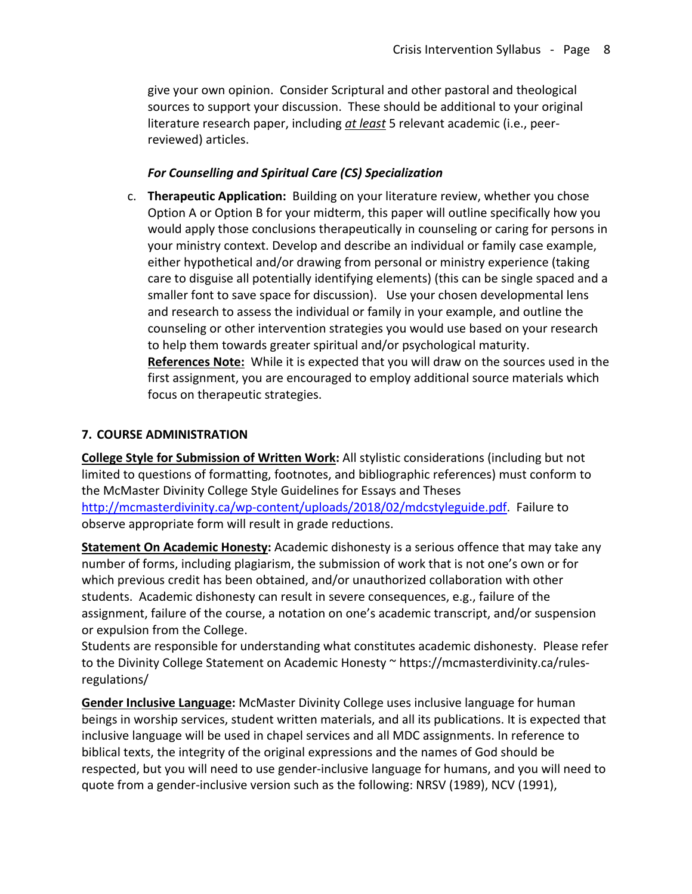give your own opinion. Consider Scriptural and other pastoral and theological sources to support your discussion. These should be additional to your original literature research paper, including *at least* 5 relevant academic (i.e., peerreviewed) articles.

### *For Counselling and Spiritual Care (CS) Specialization*

c. **Therapeutic Application:** Building on your literature review, whether you chose Option A or Option B for your midterm, this paper will outline specifically how you would apply those conclusions therapeutically in counseling or caring for persons in your ministry context. Develop and describe an individual or family case example, either hypothetical and/or drawing from personal or ministry experience (taking care to disguise all potentially identifying elements) (this can be single spaced and a smaller font to save space for discussion). Use your chosen developmental lens and research to assess the individual or family in your example, and outline the counseling or other intervention strategies you would use based on your research to help them towards greater spiritual and/or psychological maturity. **References Note:** While it is expected that you will draw on the sources used in the first assignment, you are encouraged to employ additional source materials which focus on therapeutic strategies.

### **7. COURSE ADMINISTRATION**

**College Style for Submission of Written Work:** All stylistic considerations (including but not limited to questions of formatting, footnotes, and bibliographic references) must conform to the McMaster Divinity College Style Guidelines for Essays and Theses http://mcmasterdivinity.ca/wp-content/uploads/2018/02/mdcstyleguide.pdf. Failure to observe appropriate form will result in grade reductions.

**Statement On Academic Honesty:** Academic dishonesty is a serious offence that may take any number of forms, including plagiarism, the submission of work that is not one's own or for which previous credit has been obtained, and/or unauthorized collaboration with other students. Academic dishonesty can result in severe consequences, e.g., failure of the assignment, failure of the course, a notation on one's academic transcript, and/or suspension or expulsion from the College.

Students are responsible for understanding what constitutes academic dishonesty. Please refer to the Divinity College Statement on Academic Honesty ~ https://mcmasterdivinity.ca/rulesregulations/

**Gender Inclusive Language:** McMaster Divinity College uses inclusive language for human beings in worship services, student written materials, and all its publications. It is expected that inclusive language will be used in chapel services and all MDC assignments. In reference to biblical texts, the integrity of the original expressions and the names of God should be respected, but you will need to use gender-inclusive language for humans, and you will need to quote from a gender-inclusive version such as the following: NRSV (1989), NCV (1991),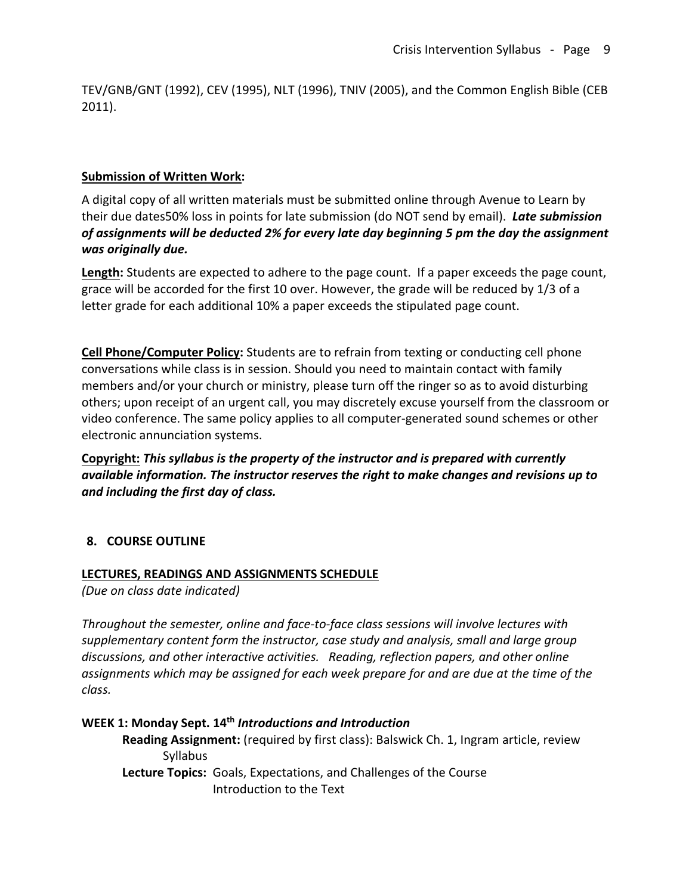TEV/GNB/GNT (1992), CEV (1995), NLT (1996), TNIV (2005), and the Common English Bible (CEB 2011).

### **Submission of Written Work:**

A digital copy of all written materials must be submitted online through Avenue to Learn by their due dates50% loss in points for late submission (do NOT send by email). *Late submission of assignments will be deducted 2% for every late day beginning 5 pm the day the assignment was originally due.* 

**Length:** Students are expected to adhere to the page count. If a paper exceeds the page count, grace will be accorded for the first 10 over. However, the grade will be reduced by 1/3 of a letter grade for each additional 10% a paper exceeds the stipulated page count.

**Cell Phone/Computer Policy:** Students are to refrain from texting or conducting cell phone conversations while class is in session. Should you need to maintain contact with family members and/or your church or ministry, please turn off the ringer so as to avoid disturbing others; upon receipt of an urgent call, you may discretely excuse yourself from the classroom or video conference. The same policy applies to all computer-generated sound schemes or other electronic annunciation systems.

**Copyright:** *This syllabus is the property of the instructor and is prepared with currently available information. The instructor reserves the right to make changes and revisions up to and including the first day of class.*

## **8. COURSE OUTLINE**

### **LECTURES, READINGS AND ASSIGNMENTS SCHEDULE**

*(Due on class date indicated)*

*Throughout the semester, online and face-to-face class sessions will involve lectures with supplementary content form the instructor, case study and analysis, small and large group discussions, and other interactive activities. Reading, reflection papers, and other online assignments which may be assigned for each week prepare for and are due at the time of the class.*

**WEEK 1: Monday Sept. 14th** *Introductions and Introduction* **Reading Assignment:** (required by first class): Balswick Ch. 1, Ingram article, review Syllabus **Lecture Topics:** Goals, Expectations, and Challenges of the Course Introduction to the Text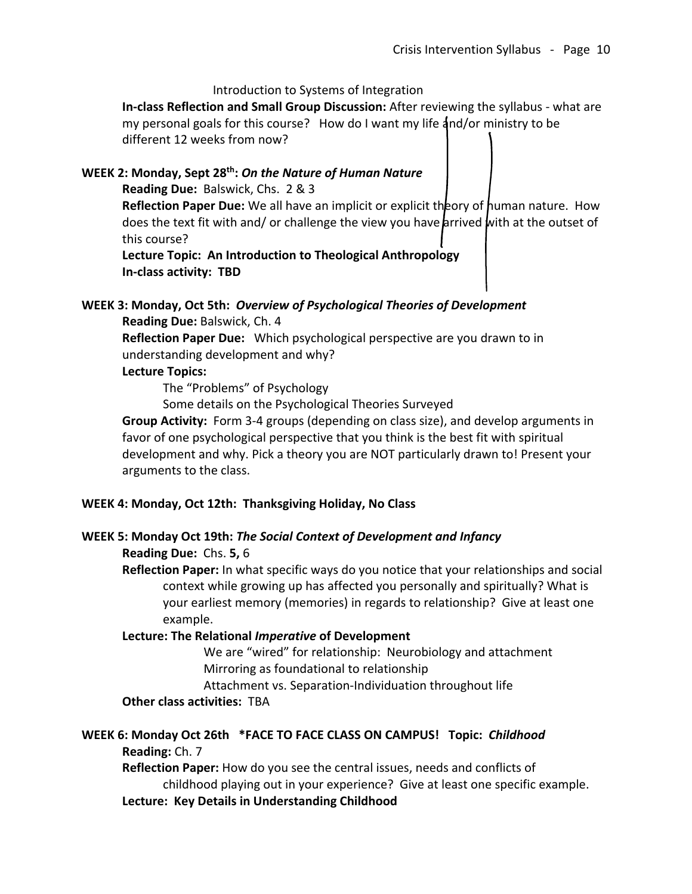Introduction to Systems of Integration

**In-class Reflection and Small Group Discussion:** After reviewing the syllabus - what are my personal goals for this course? How do I want my life  $4nd/or$  ministry to be different 12 weeks from now?

### **WEEK 2: Monday, Sept 28th:** *On the Nature of Human Nature*

**Reading Due:** Balswick, Chs. 2 & 3

**Reflection Paper Due:** We all have an implicit or explicit theory of human nature. How does the text fit with and/ or challenge the view you have arrived with at the outset of this course?

**Lecture Topic: An Introduction to Theological Anthropology In-class activity: TBD**

#### **WEEK 3: Monday, Oct 5th:** *Overview of Psychological Theories of Development*

**Reading Due:** Balswick, Ch. 4

**Reflection Paper Due:** Which psychological perspective are you drawn to in understanding development and why?

#### **Lecture Topics:**

The "Problems" of Psychology

Some details on the Psychological Theories Surveyed

**Group Activity:** Form 3-4 groups (depending on class size), and develop arguments in favor of one psychological perspective that you think is the best fit with spiritual development and why. Pick a theory you are NOT particularly drawn to! Present your arguments to the class.

### **WEEK 4: Monday, Oct 12th: Thanksgiving Holiday, No Class**

### **WEEK 5: Monday Oct 19th:** *The Social Context of Development and Infancy*

#### **Reading Due:** Chs. **5,** 6

**Reflection Paper:** In what specific ways do you notice that your relationships and social context while growing up has affected you personally and spiritually? What is your earliest memory (memories) in regards to relationship? Give at least one example.

#### **Lecture: The Relational** *Imperative* **of Development**

We are "wired" for relationship: Neurobiology and attachment Mirroring as foundational to relationship

Attachment vs. Separation-Individuation throughout life

### **Other class activities:** TBA

### **WEEK 6: Monday Oct 26th \*FACE TO FACE CLASS ON CAMPUS! Topic:** *Childhood* **Reading:** Ch. 7

**Reflection Paper:** How do you see the central issues, needs and conflicts of childhood playing out in your experience? Give at least one specific example. **Lecture: Key Details in Understanding Childhood**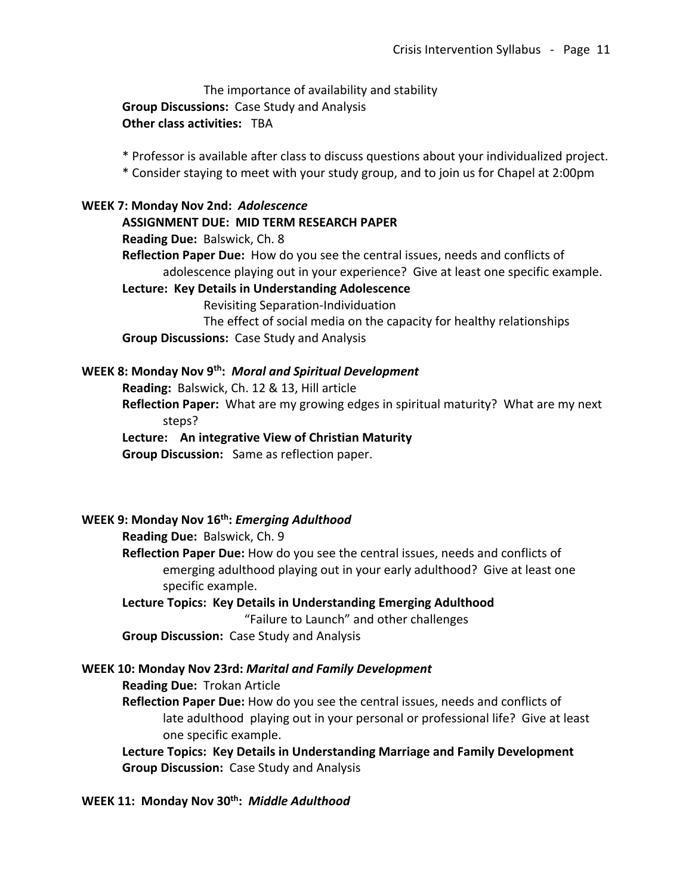The importance of availability and stability **Group Discussions:** Case Study and Analysis **Other class activities:** TBA

\* Professor is available after class to discuss questions about your individualized project.

\* Consider staying to meet with your study group, and to join us for Chapel at 2:00pm

#### **WEEK 7: Monday Nov 2nd:** *Adolescence*

**ASSIGNMENT DUE: MID TERM RESEARCH PAPER**

**Reading Due:** Balswick, Ch. 8

**Reflection Paper Due:** How do you see the central issues, needs and conflicts of adolescence playing out in your experience? Give at least one specific example.

#### **Lecture: Key Details in Understanding Adolescence**

Revisiting Separation-Individuation

The effect of social media on the capacity for healthy relationships **Group Discussions:** Case Study and Analysis

### **WEEK 8: Monday Nov 9th:** *Moral and Spiritual Development*

**Reading:** Balswick, Ch. 12 & 13, Hill article

**Reflection Paper:** What are my growing edges in spiritual maturity? What are my next steps?

**Lecture: An integrative View of Christian Maturity**

**Group Discussion:** Same as reflection paper.

#### **WEEK 9: Monday Nov 16th:** *Emerging Adulthood*

**Reading Due:** Balswick, Ch. 9

**Reflection Paper Due:** How do you see the central issues, needs and conflicts of emerging adulthood playing out in your early adulthood? Give at least one specific example.

# **Lecture Topics: Key Details in Understanding Emerging Adulthood** "Failure to Launch" and other challenges

**Group Discussion:** Case Study and Analysis

### **WEEK 10: Monday Nov 23rd:** *Marital and Family Development*

**Reading Due:** Trokan Article

**Reflection Paper Due:** How do you see the central issues, needs and conflicts of late adulthood playing out in your personal or professional life? Give at least one specific example.

**Lecture Topics: Key Details in Understanding Marriage and Family Development Group Discussion:** Case Study and Analysis

## WEEK 11: Monday Nov 30<sup>th</sup>: Middle Adulthood